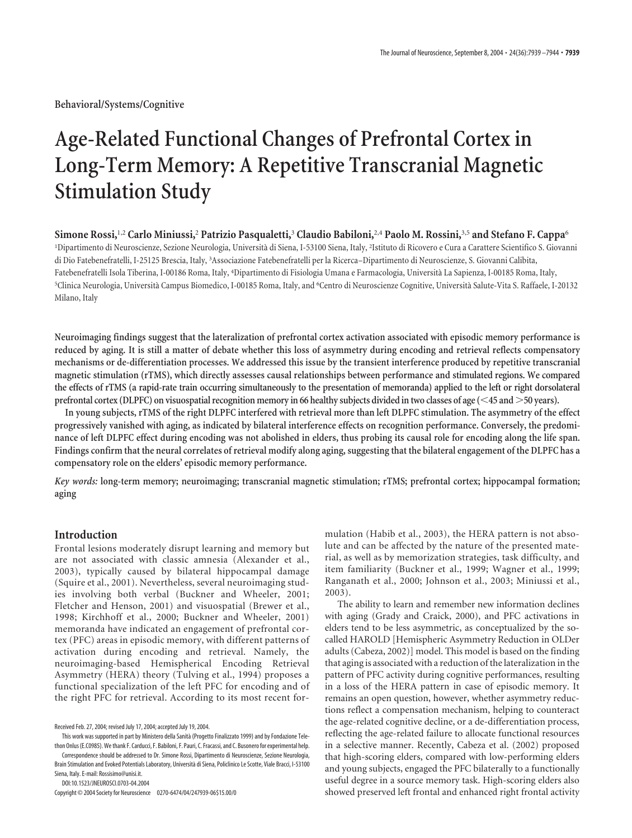**Behavioral/Systems/Cognitive**

# **Age-Related Functional Changes of Prefrontal Cortex in Long-Term Memory: A Repetitive Transcranial Magnetic Stimulation Study**

**Simone Rossi,**1,2 **Carlo Miniussi,**<sup>2</sup> **Patrizio Pasqualetti,**<sup>3</sup> **Claudio Babiloni,**2,4 **Paolo M. Rossini,**3,5 **and Stefano F. Cappa**<sup>6</sup> <sup>1</sup>Dipartimento di Neuroscienze, Sezione Neurologia, Università di Siena, I-53100 Siena, Italy, <sup>2</sup>Istituto di Ricovero e Cura a Carattere Scientifico S. Giovanni di Dio Fatebenefratelli, I-25125 Brescia, Italy, <sup>3</sup> Associazione Fatebenefratelli per la Ricerca–Dipartimento di Neuroscienze, S. Giovanni Calibita, Fatebenefratelli Isola Tiberina, I-00186 Roma, Italy, <sup>4</sup> Dipartimento di Fisiologia Umana e Farmacologia, Universita` La Sapienza, I-00185 Roma, Italy, 5 Clinica Neurologia, Universita` Campus Biomedico, I-00185 Roma, Italy, and <sup>6</sup> Centro di Neuroscienze Cognitive, Universita` Salute-Vita S. Raffaele, I-20132 Milano, Italy

**Neuroimaging findings suggest that the lateralization of prefrontal cortex activation associated with episodic memory performance is reduced by aging. It is still a matter of debate whether this loss of asymmetry during encoding and retrieval reflects compensatory mechanisms or de-differentiation processes. We addressed this issue by the transient interference produced by repetitive transcranial magnetic stimulation (rTMS), which directly assesses causal relationships between performance and stimulated regions. We compared the effects of rTMS (a rapid-rate train occurring simultaneously to the presentation of memoranda) applied to the left or right dorsolateral prefrontal cortex (DLPFC) on visuospatial recognition memory in 66 healthy subjects divided in two classes of age (45 and** -**50 years).**

**In young subjects, rTMS of the right DLPFC interfered with retrieval more than left DLPFC stimulation. The asymmetry of the effect progressively vanished with aging, as indicated by bilateral interference effects on recognition performance. Conversely, the predominance of left DLPFC effect during encoding was not abolished in elders, thus probing its causal role for encoding along the life span. Findings confirm that the neural correlates of retrieval modify along aging, suggesting that the bilateral engagement of the DLPFC has a compensatory role on the elders' episodic memory performance.**

*Key words:* **long-term memory; neuroimaging; transcranial magnetic stimulation; rTMS; prefrontal cortex; hippocampal formation; aging**

## **Introduction**

Frontal lesions moderately disrupt learning and memory but are not associated with classic amnesia (Alexander et al., 2003), typically caused by bilateral hippocampal damage (Squire et al., 2001). Nevertheless, several neuroimaging studies involving both verbal (Buckner and Wheeler, 2001; Fletcher and Henson, 2001) and visuospatial (Brewer et al., 1998; Kirchhoff et al., 2000; Buckner and Wheeler, 2001) memoranda have indicated an engagement of prefrontal cortex (PFC) areas in episodic memory, with different patterns of activation during encoding and retrieval. Namely, the neuroimaging-based Hemispherical Encoding Retrieval Asymmetry (HERA) theory (Tulving et al., 1994) proposes a functional specialization of the left PFC for encoding and of the right PFC for retrieval. According to its most recent for-

This work was supported in part by Ministero della Sanita` (Progetto Finalizzato 1999) and by Fondazione Telethon Onlus (E.C0985). We thank F. Carducci, F. Babiloni, F. Pauri, C. Fracassi, and C. Busonero for experimental help. Correspondence should be addressed to Dr. Simone Rossi, Dipartimento di Neuroscienze, Sezione Neurologia, Brain Stimulation and Evoked Potentials Laboratory, Università di Siena, Policlinico Le Scotte, Viale Bracci, I-53100

Siena, Italy. E-mail: Rossisimo@unisi.it. DOI:10.1523/JNEUROSCI.0703-04.2004

Copyright © 2004 Society for Neuroscience 0270-6474/04/247939-06\$15.00/0

mulation (Habib et al., 2003), the HERA pattern is not absolute and can be affected by the nature of the presented material, as well as by memorization strategies, task difficulty, and item familiarity (Buckner et al., 1999; Wagner et al., 1999; Ranganath et al., 2000; Johnson et al., 2003; Miniussi et al., 2003).

The ability to learn and remember new information declines with aging (Grady and Craick, 2000), and PFC activations in elders tend to be less asymmetric, as conceptualized by the socalled HAROLD [Hemispheric Asymmetry Reduction in OLDer adults (Cabeza, 2002)] model. This model is based on the finding that aging is associated with a reduction of the lateralization in the pattern of PFC activity during cognitive performances, resulting in a loss of the HERA pattern in case of episodic memory. It remains an open question, however, whether asymmetry reductions reflect a compensation mechanism, helping to counteract the age-related cognitive decline, or a de-differentiation process, reflecting the age-related failure to allocate functional resources in a selective manner. Recently, Cabeza et al. (2002) proposed that high-scoring elders, compared with low-performing elders and young subjects, engaged the PFC bilaterally to a functionally useful degree in a source memory task. High-scoring elders also showed preserved left frontal and enhanced right frontal activity

Received Feb. 27, 2004; revised July 17, 2004; accepted July 19, 2004.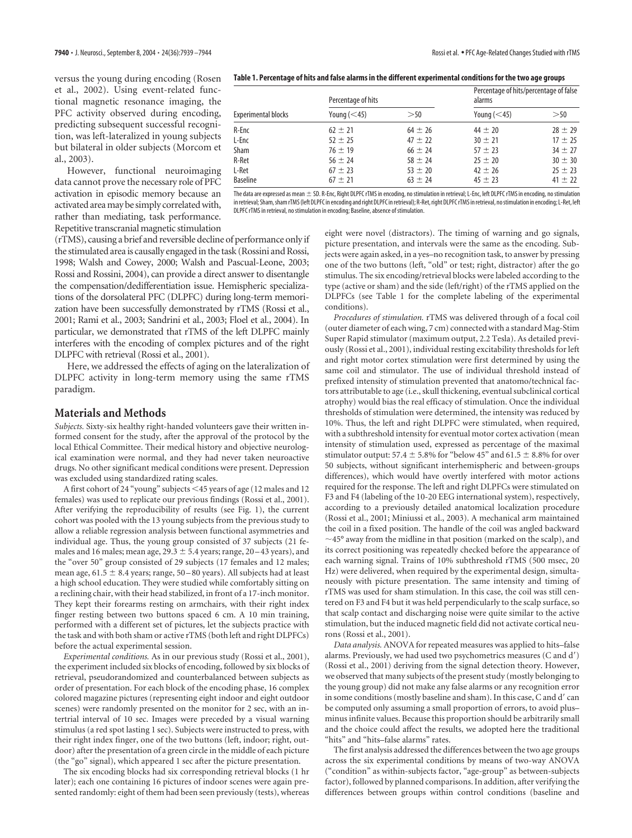versus the young during encoding (Rosen et al., 2002). Using event-related functional magnetic resonance imaging, the PFC activity observed during encoding, predicting subsequent successful recognition, was left-lateralized in young subjects but bilateral in older subjects (Morcom et al., 2003).

However, functional neuroimaging data cannot prove the necessary role of PFC activation in episodic memory because an activated area may be simply correlated with, rather than mediating, task performance. Repetitive transcranial magnetic stimulation

(rTMS), causing a brief and reversible decline of performance only if the stimulated area is causally engaged in the task (Rossini and Rossi, 1998; Walsh and Cowey, 2000; Walsh and Pascual-Leone, 2003; Rossi and Rossini, 2004), can provide a direct answer to disentangle the compensation/dedifferentiation issue. Hemispheric specializations of the dorsolateral PFC (DLPFC) during long-term memorization have been successfully demonstrated by rTMS (Rossi et al., 2001; Rami et al., 2003; Sandrini et al., 2003; Floel et al., 2004). In particular, we demonstrated that rTMS of the left DLPFC mainly interferes with the encoding of complex pictures and of the right DLPFC with retrieval (Rossi et al., 2001).

Here, we addressed the effects of aging on the lateralization of DLPFC activity in long-term memory using the same rTMS paradigm.

## **Materials and Methods**

*Subjects.* Sixty-six healthy right-handed volunteers gave their written informed consent for the study, after the approval of the protocol by the local Ethical Committee. Their medical history and objective neurological examination were normal, and they had never taken neuroactive drugs. No other significant medical conditions were present. Depression was excluded using standardized rating scales.

A first cohort of 24 "young" subjects 45 years of age (12 males and 12 females) was used to replicate our previous findings (Rossi et al., 2001). After verifying the reproducibility of results (see Fig. 1), the current cohort was pooled with the 13 young subjects from the previous study to allow a reliable regression analysis between functional asymmetries and individual age. Thus, the young group consisted of 37 subjects (21 females and 16 males; mean age,  $29.3 \pm 5.4$  years; range,  $20-43$  years), and the "over 50" group consisted of 29 subjects (17 females and 12 males; mean age,  $61.5 \pm 8.4$  years; range,  $50 - 80$  years). All subjects had at least a high school education. They were studied while comfortably sitting on a reclining chair, with their head stabilized, in front of a 17-inch monitor. They kept their forearms resting on armchairs, with their right index finger resting between two buttons spaced 6 cm. A 10 min training, performed with a different set of pictures, let the subjects practice with the task and with both sham or active rTMS (both left and right DLPFCs) before the actual experimental session.

*Experimental conditions.* As in our previous study (Rossi et al., 2001), the experiment included six blocks of encoding, followed by six blocks of retrieval, pseudorandomized and counterbalanced between subjects as order of presentation. For each block of the encoding phase, 16 complex colored magazine pictures (representing eight indoor and eight outdoor scenes) were randomly presented on the monitor for 2 sec, with an intertrial interval of 10 sec. Images were preceded by a visual warning stimulus (a red spot lasting 1 sec). Subjects were instructed to press, with their right index finger, one of the two buttons (left, indoor; right, outdoor) after the presentation of a green circle in the middle of each picture (the "go" signal), which appeared 1 sec after the picture presentation.

The six encoding blocks had six corresponding retrieval blocks (1 hr later); each one containing 16 pictures of indoor scenes were again presented randomly: eight of them had been seen previously (tests), whereas

| Table 1. Percentage of hits and false alarms in the different experimental conditions for the two age groups |
|--------------------------------------------------------------------------------------------------------------|
|--------------------------------------------------------------------------------------------------------------|

| <b>Experimental blocks</b> | Percentage of hits |             | Percentage of hits/percentage of false<br>alarms |             |
|----------------------------|--------------------|-------------|--------------------------------------------------|-------------|
|                            | Young $(<$ 45)     | >50         | Young $(<$ 45)                                   | >50         |
| R-Enc                      | $62 \pm 21$        | $64 \pm 26$ | $44 \pm 20$                                      | $28 \pm 29$ |
| L-Enc                      | $52 \pm 25$        | $47 \pm 22$ | $30 \pm 21$                                      | $17 + 25$   |
| <b>Sham</b>                | $76 \pm 19$        | $66 \pm 24$ | $57 + 23$                                        | $34 \pm 27$ |
| R-Ret                      | $56 \pm 24$        | $58 \pm 24$ | $25 \pm 20$                                      | $30 \pm 30$ |
| L-Ret                      | $67 \pm 23$        | $53 \pm 20$ | $42 \pm 26$                                      | $25 \pm 23$ |
| <b>Baseline</b>            | $67 \pm 21$        | $63 \pm 24$ | $45 \pm 23$                                      | $41 \pm 22$ |

The data are expressed as mean  $\pm$  SD. R-Enc, Right DLPFC rTMS in encoding, no stimulation in retrieval; L-Enc, left DLPFC rTMS in encoding, no stimulation in retrieval; Sham, sham rTMS (left DLPFC in encoding and right DLPFC in retrieval); R-Ret, right DLPFC rTMS in retrieval, no stimulation in encoding;L-Ret, left DLPFC rTMS in retrieval, no stimulation in encoding; Baseline, absence of stimulation.

> eight were novel (distractors). The timing of warning and go signals, picture presentation, and intervals were the same as the encoding. Subjects were again asked, in a yes–no recognition task, to answer by pressing one of the two buttons (left, "old" or test; right, distractor) after the go stimulus. The six encoding/retrieval blocks were labeled according to the type (active or sham) and the side (left/right) of the rTMS applied on the DLPFCs (see Table 1 for the complete labeling of the experimental conditions).

> *Procedures of stimulation.* rTMS was delivered through of a focal coil (outer diameter of each wing, 7 cm) connected with a standard Mag-Stim Super Rapid stimulator (maximum output, 2.2 Tesla). As detailed previously (Rossi et al., 2001), individual resting excitability thresholds for left and right motor cortex stimulation were first determined by using the same coil and stimulator. The use of individual threshold instead of prefixed intensity of stimulation prevented that anatomo/technical factors attributable to age (i.e., skull thickening, eventual subclinical cortical atrophy) would bias the real efficacy of stimulation. Once the individual thresholds of stimulation were determined, the intensity was reduced by 10%. Thus, the left and right DLPFC were stimulated, when required, with a subthreshold intensity for eventual motor cortex activation (mean intensity of stimulation used, expressed as percentage of the maximal stimulator output: 57.4  $\pm$  5.8% for "below 45" and 61.5  $\pm$  8.8% for over 50 subjects, without significant interhemispheric and between-groups differences), which would have overtly interfered with motor actions required for the response. The left and right DLPFCs were stimulated on F3 and F4 (labeling of the 10-20 EEG international system), respectively, according to a previously detailed anatomical localization procedure (Rossi et al., 2001; Miniussi et al., 2003). A mechanical arm maintained the coil in a fixed position. The handle of the coil was angled backward  $\sim$ 45° away from the midline in that position (marked on the scalp), and its correct positioning was repeatedly checked before the appearance of each warning signal. Trains of 10% subthreshold rTMS (500 msec, 20 Hz) were delivered, when required by the experimental design, simultaneously with picture presentation. The same intensity and timing of rTMS was used for sham stimulation. In this case, the coil was still centered on F3 and F4 but it was held perpendicularly to the scalp surface, so that scalp contact and discharging noise were quite similar to the active stimulation, but the induced magnetic field did not activate cortical neurons (Rossi et al., 2001).

> *Data analysis.* ANOVA for repeated measures was applied to hits–false alarms. Previously, we had used two psychometrics measures (C and d') (Rossi et al., 2001) deriving from the signal detection theory. However, we observed that many subjects of the present study (mostly belonging to the young group) did not make any false alarms or any recognition error in some conditions (mostly baseline and sham). In this case, C and d' can be computed only assuming a small proportion of errors, to avoid plus– minus infinite values. Because this proportion should be arbitrarily small and the choice could affect the results, we adopted here the traditional "hits" and "hits–false alarms" rates.

> The first analysis addressed the differences between the two age groups across the six experimental conditions by means of two-way ANOVA ("condition" as within-subjects factor, "age-group" as between-subjects factor), followed by planned comparisons. In addition, after verifying the differences between groups within control conditions (baseline and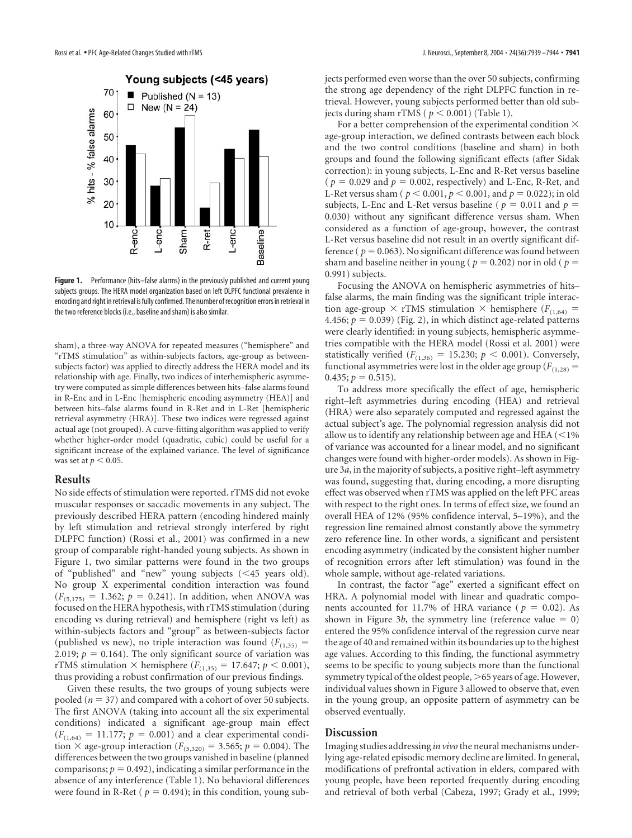

**Figure 1.** Performance (hits–false alarms) in the previously published and current young subjects groups. The HERA model organization based on left DLPFC functional prevalence in encoding and right in retrieval is fully confirmed. The number of recognition errors in retrieval in the two reference blocks (i.e., baseline and sham) is also similar.

sham), a three-way ANOVA for repeated measures ("hemisphere" and "rTMS stimulation" as within-subjects factors, age-group as betweensubjects factor) was applied to directly address the HERA model and its relationship with age. Finally, two indices of interhemispheric asymmetry were computed as simple differences between hits–false alarms found in R-Enc and in L-Enc [hemispheric encoding asymmetry (HEA)] and between hits–false alarms found in R-Ret and in L-Ret [hemispheric retrieval asymmetry (HRA)]. These two indices were regressed against actual age (not grouped). A curve-fitting algorithm was applied to verify whether higher-order model (quadratic, cubic) could be useful for a significant increase of the explained variance. The level of significance was set at  $p < 0.05$ .

### **Results**

No side effects of stimulation were reported. rTMS did not evoke muscular responses or saccadic movements in any subject. The previously described HERA pattern (encoding hindered mainly by left stimulation and retrieval strongly interfered by right DLPFC function) (Rossi et al., 2001) was confirmed in a new group of comparable right-handed young subjects. As shown in Figure 1, two similar patterns were found in the two groups of "published" and "new" young subjects (45 years old). No group X experimental condition interaction was found  $(F_{(5,175)} = 1.362; p = 0.241)$ . In addition, when ANOVA was focused on the HERA hypothesis, with rTMS stimulation (during encoding vs during retrieval) and hemisphere (right vs left) as within-subjects factors and "group" as between-subjects factor (published vs new), no triple interaction was found  $(F<sub>(1,35)</sub> =$ 2.019;  $p = 0.164$ ). The only significant source of variation was rTMS stimulation  $\times$  hemisphere ( $F_{(1,35)} = 17.647; p < 0.001$ ), thus providing a robust confirmation of our previous findings.

Given these results, the two groups of young subjects were pooled ( $n = 37$ ) and compared with a cohort of over 50 subjects. The first ANOVA (taking into account all the six experimental conditions) indicated a significant age-group main effect  $(F_{(1,64)} = 11.177; p = 0.001)$  and a clear experimental condition  $\times$  age-group interaction ( $F_{(5,320)} = 3.565; p = 0.004$ ). The differences between the two groups vanished in baseline (planned comparisons;  $p = 0.492$ ), indicating a similar performance in the absence of any interference (Table 1). No behavioral differences were found in R-Ret ( $p = 0.494$ ); in this condition, young subjects performed even worse than the over 50 subjects, confirming the strong age dependency of the right DLPFC function in retrieval. However, young subjects performed better than old subjects during sham rTMS ( $p < 0.001$ ) (Table 1).

For a better comprehension of the experimental condition  $\times$ age-group interaction, we defined contrasts between each block and the two control conditions (baseline and sham) in both groups and found the following significant effects (after Sidak correction): in young subjects, L-Enc and R-Ret versus baseline ( $p = 0.029$  and  $p = 0.002$ , respectively) and L-Enc, R-Ret, and L-Ret versus sham ( $p < 0.001$ ,  $p < 0.001$ , and  $p = 0.022$ ); in old subjects, L-Enc and L-Ret versus baseline ( $p = 0.011$  and  $p =$ 0.030) without any significant difference versus sham. When considered as a function of age-group, however, the contrast L-Ret versus baseline did not result in an overtly significant difference ( $p = 0.063$ ). No significant difference was found between sham and baseline neither in young ( $p = 0.202$ ) nor in old ( $p =$ 0.991) subjects.

Focusing the ANOVA on hemispheric asymmetries of hits– false alarms, the main finding was the significant triple interaction age-group  $\times$  rTMS stimulation  $\times$  hemisphere ( $F$ <sub>(1,64)</sub> = 4.456;  $p = 0.039$ ) (Fig. 2), in which distinct age-related patterns were clearly identified: in young subjects, hemispheric asymmetries compatible with the HERA model (Rossi et al. 2001) were statistically verified ( $F_{(1,36)} = 15.230$ ;  $p < 0.001$ ). Conversely, functional asymmetries were lost in the older age group  $(F_{(1,28)})$  $0.435; p = 0.515$ ).

To address more specifically the effect of age, hemispheric right–left asymmetries during encoding (HEA) and retrieval (HRA) were also separately computed and regressed against the actual subject's age. The polynomial regression analysis did not allow us to identify any relationship between age and HEA  $(< 1\%$ of variance was accounted for a linear model, and no significant changes were found with higher-order models). As shown in Figure 3*a*, in the majority of subjects, a positive right–left asymmetry was found, suggesting that, during encoding, a more disrupting effect was observed when rTMS was applied on the left PFC areas with respect to the right ones. In terms of effect size, we found an overall HEA of 12% (95% confidence interval, 5–19%), and the regression line remained almost constantly above the symmetry zero reference line. In other words, a significant and persistent encoding asymmetry (indicated by the consistent higher number of recognition errors after left stimulation) was found in the whole sample, without age-related variations.

In contrast, the factor "age" exerted a significant effect on HRA. A polynomial model with linear and quadratic components accounted for 11.7% of HRA variance ( $p = 0.02$ ). As shown in Figure 3*b*, the symmetry line (reference value  $= 0$ ) entered the 95% confidence interval of the regression curve near the age of 40 and remained within its boundaries up to the highest age values. According to this finding, the functional asymmetry seems to be specific to young subjects more than the functional symmetry typical of the oldest people, >65 years of age. However, individual values shown in Figure 3 allowed to observe that, even in the young group, an opposite pattern of asymmetry can be observed eventually.

## **Discussion**

Imaging studies addressing *in vivo* the neural mechanisms underlying age-related episodic memory decline are limited. In general, modifications of prefrontal activation in elders, compared with young people, have been reported frequently during encoding and retrieval of both verbal (Cabeza, 1997; Grady et al., 1999;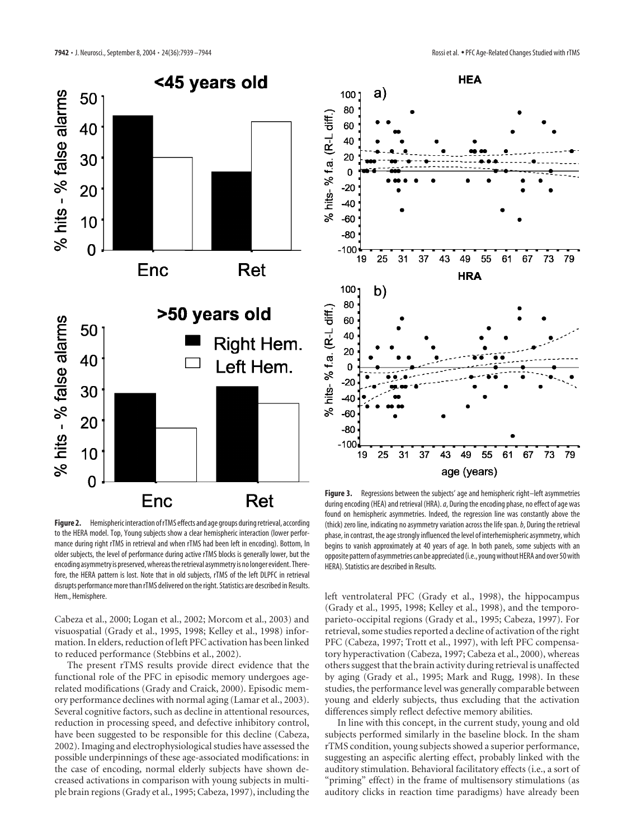

**Figure 2.** Hemispheric interaction of rTMS effects and age groups during retrieval, according to the HERA model. Top, Young subjects show a clear hemispheric interaction (lower performance during right rTMS in retrieval and when rTMS had been left in encoding). Bottom, In older subjects, the level of performance during active rTMS blocks is generally lower, but the encoding asymmetry is preserved, whereas the retrieval asymmetry is no longer evident. Therefore, the HERA pattern is lost. Note that in old subjects, rTMS of the left DLPFC in retrieval disrupts performance more than rTMS delivered on the right. Statistics are described in Results. Hem., Hemisphere.

Cabeza et al., 2000; Logan et al., 2002; Morcom et al., 2003) and visuospatial (Grady et al., 1995, 1998; Kelley et al., 1998) information. In elders, reduction of left PFC activation has been linked to reduced performance (Stebbins et al., 2002).

The present rTMS results provide direct evidence that the functional role of the PFC in episodic memory undergoes agerelated modifications (Grady and Craick, 2000). Episodic memory performance declines with normal aging (Lamar et al., 2003). Several cognitive factors, such as decline in attentional resources, reduction in processing speed, and defective inhibitory control, have been suggested to be responsible for this decline (Cabeza, 2002). Imaging and electrophysiological studies have assessed the possible underpinnings of these age-associated modifications: in the case of encoding, normal elderly subjects have shown decreased activations in comparison with young subjects in multiple brain regions (Grady et al., 1995; Cabeza, 1997), including the



Figure 3. Regressions between the subjects' age and hemispheric right–left asymmetries during encoding (HEA) and retrieval (HRA).*a*, During the encoding phase, no effect of age was found on hemispheric asymmetries. Indeed, the regression line was constantly above the (thick) zero line, indicating no asymmetry variation across the life span.*b*, During the retrieval phase, in contrast, the age strongly influenced the level of interhemispheric asymmetry, which begins to vanish approximately at 40 years of age. In both panels, some subjects with an opposite pattern of asymmetries can be appreciated (i.e., young without HERA and over 50 with HERA). Statistics are described in Results.

left ventrolateral PFC (Grady et al., 1998), the hippocampus (Grady et al., 1995, 1998; Kelley et al., 1998), and the temporoparieto-occipital regions (Grady et al., 1995; Cabeza, 1997). For retrieval, some studies reported a decline of activation of the right PFC (Cabeza, 1997; Trott et al., 1997), with left PFC compensatory hyperactivation (Cabeza, 1997; Cabeza et al., 2000), whereas others suggest that the brain activity during retrieval is unaffected by aging (Grady et al., 1995; Mark and Rugg, 1998). In these studies, the performance level was generally comparable between young and elderly subjects, thus excluding that the activation differences simply reflect defective memory abilities.

In line with this concept, in the current study, young and old subjects performed similarly in the baseline block. In the sham rTMS condition, young subjects showed a superior performance, suggesting an aspecific alerting effect, probably linked with the auditory stimulation. Behavioral facilitatory effects (i.e., a sort of "priming" effect) in the frame of multisensory stimulations (as auditory clicks in reaction time paradigms) have already been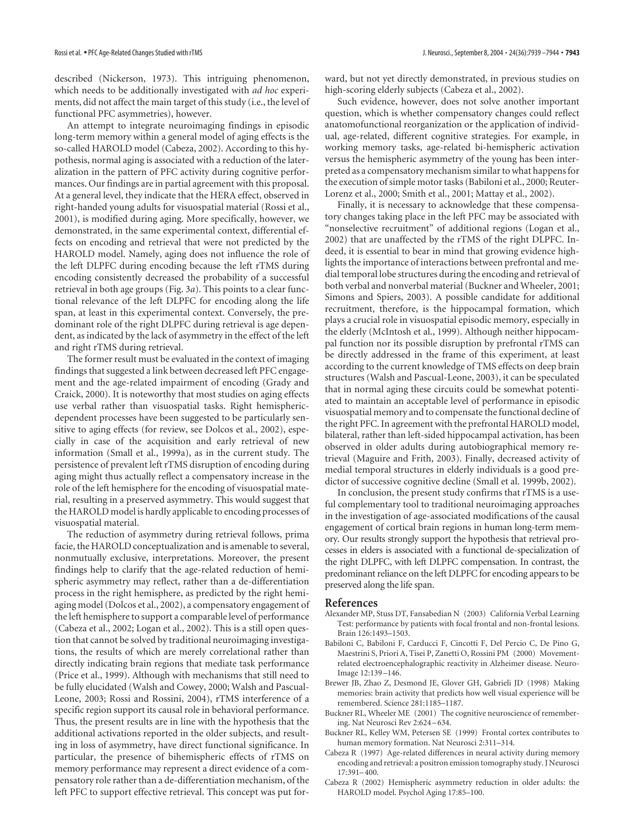described (Nickerson, 1973). This intriguing phenomenon, which needs to be additionally investigated with *ad hoc* experiments, did not affect the main target of this study (i.e., the level of functional PFC asymmetries), however.

An attempt to integrate neuroimaging findings in episodic long-term memory within a general model of aging effects is the so-called HAROLD model (Cabeza, 2002). According to this hypothesis, normal aging is associated with a reduction of the lateralization in the pattern of PFC activity during cognitive performances. Our findings are in partial agreement with this proposal. At a general level, they indicate that the HERA effect, observed in right-handed young adults for visuospatial material (Rossi et al., 2001), is modified during aging. More specifically, however, we demonstrated, in the same experimental context, differential effects on encoding and retrieval that were not predicted by the HAROLD model. Namely, aging does not influence the role of the left DLPFC during encoding because the left rTMS during encoding consistently decreased the probability of a successful retrieval in both age groups (Fig. 3*a*). This points to a clear functional relevance of the left DLPFC for encoding along the life span, at least in this experimental context. Conversely, the predominant role of the right DLPFC during retrieval is age dependent, as indicated by the lack of asymmetry in the effect of the left and right rTMS during retrieval.

The former result must be evaluated in the context of imaging findings that suggested a link between decreased left PFC engagement and the age-related impairment of encoding (Grady and Craick, 2000). It is noteworthy that most studies on aging effects use verbal rather than visuospatial tasks. Right hemisphericdependent processes have been suggested to be particularly sensitive to aging effects (for review, see Dolcos et al., 2002), especially in case of the acquisition and early retrieval of new information (Small et al., 1999a), as in the current study. The persistence of prevalent left rTMS disruption of encoding during aging might thus actually reflect a compensatory increase in the role of the left hemisphere for the encoding of visuospatial material, resulting in a preserved asymmetry. This would suggest that the HAROLD model is hardly applicable to encoding processes of visuospatial material.

The reduction of asymmetry during retrieval follows, prima facie, the HAROLD conceptualization and is amenable to several, nonmutually exclusive, interpretations. Moreover, the present findings help to clarify that the age-related reduction of hemispheric asymmetry may reflect, rather than a de-differentiation process in the right hemisphere, as predicted by the right hemiaging model (Dolcos et al., 2002), a compensatory engagement of the left hemisphere to support a comparable level of performance (Cabeza et al., 2002; Logan et al., 2002). This is a still open question that cannot be solved by traditional neuroimaging investigations, the results of which are merely correlational rather than directly indicating brain regions that mediate task performance (Price et al., 1999). Although with mechanisms that still need to be fully elucidated (Walsh and Cowey, 2000; Walsh and Pascual-Leone, 2003; Rossi and Rossini, 2004), rTMS interference of a specific region support its causal role in behavioral performance. Thus, the present results are in line with the hypothesis that the additional activations reported in the older subjects, and resulting in loss of asymmetry, have direct functional significance. In particular, the presence of bihemispheric effects of rTMS on memory performance may represent a direct evidence of a compensatory role rather than a de-differentiation mechanism, of the left PFC to support effective retrieval. This concept was put forward, but not yet directly demonstrated, in previous studies on high-scoring elderly subjects (Cabeza et al., 2002).

Such evidence, however, does not solve another important question, which is whether compensatory changes could reflect anatomofunctional reorganization or the application of individual, age-related, different cognitive strategies. For example, in working memory tasks, age-related bi-hemispheric activation versus the hemispheric asymmetry of the young has been interpreted as a compensatory mechanism similar to what happens for the execution of simple motor tasks (Babiloni et al., 2000; Reuter-Lorenz et al., 2000; Smith et al., 2001; Mattay et al., 2002).

Finally, it is necessary to acknowledge that these compensatory changes taking place in the left PFC may be associated with "nonselective recruitment" of additional regions (Logan et al., 2002) that are unaffected by the rTMS of the right DLPFC. Indeed, it is essential to bear in mind that growing evidence highlights the importance of interactions between prefrontal and medial temporal lobe structures during the encoding and retrieval of both verbal and nonverbal material (Buckner and Wheeler, 2001; Simons and Spiers, 2003). A possible candidate for additional recruitment, therefore, is the hippocampal formation, which plays a crucial role in visuospatial episodic memory, especially in the elderly (McIntosh et al., 1999). Although neither hippocampal function nor its possible disruption by prefrontal rTMS can be directly addressed in the frame of this experiment, at least according to the current knowledge of TMS effects on deep brain structures (Walsh and Pascual-Leone, 2003), it can be speculated that in normal aging these circuits could be somewhat potentiated to maintain an acceptable level of performance in episodic visuospatial memory and to compensate the functional decline of the right PFC. In agreement with the prefrontal HAROLD model, bilateral, rather than left-sided hippocampal activation, has been observed in older adults during autobiographical memory retrieval (Maguire and Frith, 2003). Finally, decreased activity of medial temporal structures in elderly individuals is a good predictor of successive cognitive decline (Small et al. 1999b, 2002).

In conclusion, the present study confirms that rTMS is a useful complementary tool to traditional neuroimaging approaches in the investigation of age-associated modifications of the causal engagement of cortical brain regions in human long-term memory. Our results strongly support the hypothesis that retrieval processes in elders is associated with a functional de-specialization of the right DLPFC, with left DLPFC compensation. In contrast, the predominant reliance on the left DLPFC for encoding appears to be preserved along the life span.

#### **References**

- Alexander MP, Stuss DT, Fansabedian N (2003) California Verbal Learning Test: performance by patients with focal frontal and non-frontal lesions. Brain 126:1493–1503.
- Babiloni C, Babiloni F, Carducci F, Cincotti F, Del Percio C, De Pino G, Maestrini S, Priori A, Tisei P, Zanetti O, Rossini PM (2000) Movementrelated electroencephalographic reactivity in Alzheimer disease. Neuro-Image 12:139–146.
- Brewer JB, Zhao Z, Desmond JE, Glover GH, Gabrieli JD (1998) Making memories: brain activity that predicts how well visual experience will be remembered. Science 281:1185–1187.
- Buckner RL, Wheeler ME (2001) The cognitive neuroscience of remembering. Nat Neurosci Rev 2:624–634.
- Buckner RL, Kelley WM, Petersen SE (1999) Frontal cortex contributes to human memory formation. Nat Neurosci 2:311–314.
- Cabeza R (1997) Age-related differences in neural activity during memory encoding and retrieval: a positron emission tomography study. J Neurosci 17:391–400.
- Cabeza R (2002) Hemispheric asymmetry reduction in older adults: the HAROLD model. Psychol Aging 17:85–100.